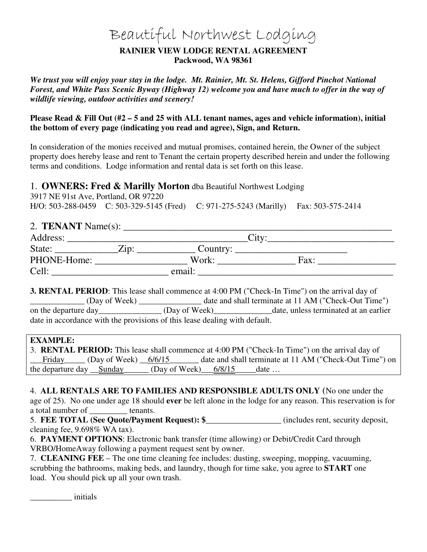# Beautiful Northwest Lodging

#### **RAINIER VIEW LODGE RENTAL AGREEMENT Packwood, WA 98361**

*We trust you will enjoy your stay in the lodge. Mt. Rainier, Mt. St. Helens, Gifford Pinchot National Forest, and White Pass Scenic Byway (Highway 12) welcome you and have much to offer in the way of wildlife viewing, outdoor activities and scenery!* 

**Please Read & Fill Out (#2 – 5 and 25 with ALL tenant names, ages and vehicle information), initial the bottom of every page (indicating you read and agree), Sign, and Return.** 

In consideration of the monies received and mutual promises, contained herein, the Owner of the subject property does hereby lease and rent to Tenant the certain property described herein and under the following terms and conditions. Lodge information and rental data is set forth on this lease.

1. **OWNERS: Fred & Marilly Morton** dba Beautiful Northwest Lodging

3917 NE 91st Ave, Portland, OR 97220 H/O: 503-288-0459 C: 503-329-5145 (Fred) C: 971-275-5243 (Marilly) Fax: 503-575-2414

# 2. **TENANT** Name(s):

| Address:    |              |          | $\mathop{\rm Jity}\nolimits$ |  |
|-------------|--------------|----------|------------------------------|--|
| State:      | $\angle$ ip: | Country: |                              |  |
| PHONE-Home: |              | Work:    | Fax:                         |  |
| Cell:       |              | email:   |                              |  |

**3. RENTAL PERIOD**: This lease shall commence at 4:00 PM ("Check-In Time") on the arrival day of \_\_\_\_\_\_\_\_\_\_\_\_\_ (Day of Week) \_\_\_\_\_\_\_\_\_\_\_\_\_\_\_ date and shall terminate at 11 AM ("Check-Out Time") on the departure day (Day of Week) date, unless terminated at an earlier date in accordance with the provisions of this lease dealing with default.

#### **EXAMPLE:**

|                                                                              |  | 3. <b>RENTAL PERIOD:</b> This lease shall commence at 4:00 PM ("Check-In Time") on the arrival day of |
|------------------------------------------------------------------------------|--|-------------------------------------------------------------------------------------------------------|
| $1$ Friday (Day of Week) $\frac{6}{6/15}$                                    |  | date and shall terminate at 11 AM ("Check-Out Time") on                                               |
| the departure day $\_\$ Sunday $\_\_$ (Day of Week) $\_\_6/8/15$ $\_\_$ date |  |                                                                                                       |

4. **ALL RENTALS ARE TO FAMILIES AND RESPONSIBLE ADULTS ONLY** (No one under the age of 25). No one under age 18 should **ever** be left alone in the lodge for any reason. This reservation is for a total number of tenants.

5. **FEE TOTAL (See Quote/Payment Request): \$\_\_\_\_\_\_\_\_\_\_\_\_\_\_\_\_\_\_** (includes rent, security deposit, cleaning fee, 9.698% WA tax).

6. **PAYMENT OPTIONS**: Electronic bank transfer (time allowing) or Debit/Credit Card through VRBO/HomeAway following a payment request sent by owner.

7. **CLEANING FEE** – The one time cleaning fee includes: dusting, sweeping, mopping, vacuuming, scrubbing the bathrooms, making beds, and laundry, though for time sake, you agree to **START** one load. You should pick up all your own trash.

\_\_\_\_\_\_\_\_\_\_ initials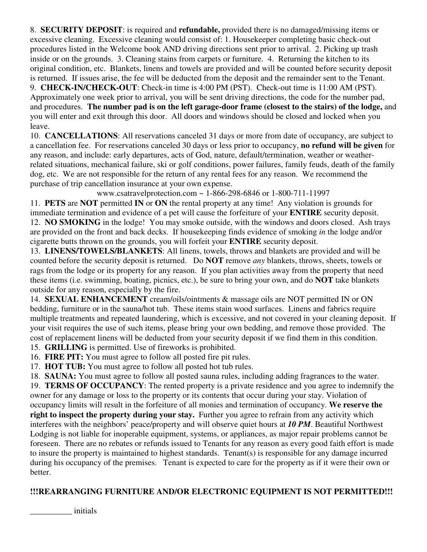8. **SECURITY DEPOSIT**: is required and **refundable,** provided there is no damaged/missing items or excessive cleaning. Excessive cleaning would consist of: 1. Housekeeper completing basic check-out procedures listed in the Welcome book AND driving directions sent prior to arrival. 2. Picking up trash inside or on the grounds. 3. Cleaning stains from carpets or furniture. 4. Returning the kitchen to its original condition, etc. Blankets, linens and towels are provided and will be counted before security deposit is returned. If issues arise, the fee will be deducted from the deposit and the remainder sent to the Tenant.

9. **CHECK-IN/CHECK-OUT**: Check-in time is 4:00 PM (PST). Check-out time is 11:00 AM (PST). Approximately one week prior to arrival, you will be sent driving directions, the code for the number pad, and procedures. **The number pad is on the left garage-door frame (closest to the stairs) of the lodge,** and you will enter and exit through this door. All doors and windows should be closed and locked when you leave.

10. **CANCELLATIONS**: All reservations canceled 31 days or more from date of occupancy, are subject to a cancellation fee. For reservations canceled 30 days or less prior to occupancy, **no refund will be given** for any reason, and include: early departures, acts of God, nature, default/termination, weather or weatherrelated situations, mechanical failure, ski or golf conditions, power failures, family feuds, death of the family dog, etc. We are not responsible for the return of any rental fees for any reason. We recommend the purchase of trip cancellation insurance at your own expense.

www.csatravelprotection.com ~ 1-866-298-6846 or 1-800-711-11997

11. **PETS** are **NOT** permitted **IN** or **ON** the rental property at any time! Any violation is grounds for immediate termination and evidence of a pet will cause the forfeiture of your **ENTIRE** security deposit. 12. **NO SMOKING** in the lodge! You may smoke outside, with the windows and doors closed. Ash trays are provided on the front and back decks. If housekeeping finds evidence of smoking *in* the lodge and/or cigarette butts thrown on the grounds, you will forfeit your **ENTIRE** security deposit.

13. **LINENS/TOWELS/BLANKETS**: All linens, towels, throws and blankets are provided and will be counted before the security deposit is returned. Do **NOT** remove *any* blankets, throws, sheets, towels or rags from the lodge or its property for any reason. If you plan activities away from the property that need these items (i.e. swimming, boating, picnics, etc.), be sure to bring your own, and do **NOT** take blankets outside for any reason, especially by the fire.

14. **SEXUAL ENHANCEMENT** cream/oils/ointments & massage oils are NOT permitted IN or ON bedding, furniture or in the sauna/hot tub. These items stain wood surfaces. Linens and fabrics require multiple treatments and repeated laundering, which is excessive, and not covered in your cleaning deposit. If your visit requires the use of such items, please bring your own bedding, and remove those provided. The cost of replacement linens will be deducted from your security deposit if we find them in this condition.

15. **GRILLING** is permitted. Use of fireworks is prohibited.

16. **FIRE PIT:** You must agree to follow all posted fire pit rules.

17. **HOT TUB:** You must agree to follow all posted hot tub rules.

18. **SAUNA:** You must agree to follow all posted sauna rules, including adding fragrances to the water.

19. **TERMS OF OCCUPANCY**: The rented property is a private residence and you agree to indemnify the owner for any damage or loss to the property or its contents that occur during your stay. Violation of occupancy limits will result in the forfeiture of all monies and termination of occupancy. **We reserve the right to inspect the property during your stay.** Further you agree to refrain from any activity which interferes with the neighbors' peace/property and will observe quiet hours at *10 PM*. Beautiful Northwest Lodging is not liable for inoperable equipment, systems, or appliances, as major repair problems cannot be foreseen. There are no rebates or refunds issued to Tenants for any reason as every good faith effort is made to insure the property is maintained to highest standards. Tenant(s) is responsible for any damage incurred during his occupancy of the premises. Tenant is expected to care for the property as if it were their own or better.

## **!!!REARRANGING FURNITURE AND/OR ELECTRONIC EQUIPMENT IS NOT PERMITTED!!!**

\_\_\_\_\_\_\_\_\_\_ initials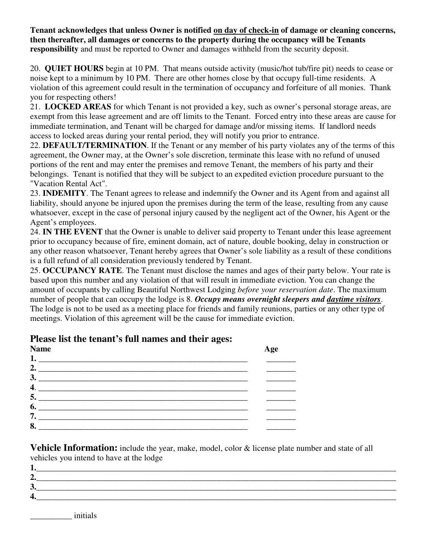**Tenant acknowledges that unless Owner is notified on day of check-in of damage or cleaning concerns, then thereafter, all damages or concerns to the property during the occupancy will be Tenants responsibility** and must be reported to Owner and damages withheld from the security deposit.

20. **QUIET HOURS** begin at 10 PM. That means outside activity (music/hot tub/fire pit) needs to cease or noise kept to a minimum by 10 PM. There are other homes close by that occupy full-time residents. A violation of this agreement could result in the termination of occupancy and forfeiture of all monies. Thank you for respecting others!

21. **LOCKED AREAS** for which Tenant is not provided a key, such as owner's personal storage areas, are exempt from this lease agreement and are off limits to the Tenant. Forced entry into these areas are cause for immediate termination, and Tenant will be charged for damage and/or missing items. If landlord needs access to locked areas during your rental period, they will notify you prior to entrance.

22. **DEFAULT/TERMINATION**. If the Tenant or any member of his party violates any of the terms of this agreement, the Owner may, at the Owner's sole discretion, terminate this lease with no refund of unused portions of the rent and may enter the premises and remove Tenant, the members of his party and their belongings. Tenant is notified that they will be subject to an expedited eviction procedure pursuant to the "Vacation Rental Act".

23. **INDEMITY**. The Tenant agrees to release and indemnify the Owner and its Agent from and against all liability, should anyone be injured upon the premises during the term of the lease, resulting from any cause whatsoever, except in the case of personal injury caused by the negligent act of the Owner, his Agent or the Agent's employees.

24. **IN THE EVENT** that the Owner is unable to deliver said property to Tenant under this lease agreement prior to occupancy because of fire, eminent domain, act of nature, double booking, delay in construction or any other reason whatsoever, Tenant hereby agrees that Owner's sole liability as a result of these conditions is a full refund of all consideration previously tendered by Tenant.

25. **OCCUPANCY RATE**. The Tenant must disclose the names and ages of their party below. Your rate is based upon this number and any violation of that will result in immediate eviction. You can change the amount of occupants by calling Beautiful Northwest Lodging *before your reservation date*. The maximum number of people that can occupy the lodge is 8. *Occupy means overnight sleepers and daytime visitors*. The lodge is not to be used as a meeting place for friends and family reunions, parties or any other type of meetings. Violation of this agreement will be the cause for immediate eviction.

## **Name Age 1. \_\_**\_\_\_\_\_\_\_\_\_\_\_\_\_\_**\_\_\_\_\_\_\_\_\_\_\_\_\_\_\_\_\_\_\_\_\_\_\_\_\_\_\_\_\_\_\_\_\_\_ \_\_**\_\_\_**\_\_ 2. \_**\_\_**\_\_\_\_\_\_\_\_\_\_\_\_\_\_\_\_\_\_\_\_\_\_\_\_\_\_\_\_\_\_\_\_\_\_\_\_\_\_\_\_\_\_\_\_\_\_\_ \_\_**\_\_\_**\_\_ 3. \_**\_\_\_\_\_\_\_\_\_\_\_\_\_\_\_\_\_\_\_\_\_\_\_\_\_\_\_\_\_\_\_\_\_\_\_\_\_\_\_\_\_\_\_\_\_\_\_\_\_ **\_\_\_\_\_\_\_ 4**. \_\_\_**\_\_\_\_\_\_\_\_\_\_\_\_\_\_\_\_\_\_\_\_\_\_\_\_\_\_\_\_\_\_\_\_\_\_\_\_\_\_\_\_\_\_\_\_\_\_\_ \_\_**\_\_\_**\_\_ 5. \_\_\_\_\_\_\_\_\_\_\_\_\_\_\_\_\_\_\_\_\_\_\_\_\_\_\_\_\_\_\_\_\_\_\_\_\_\_\_\_\_\_\_\_\_\_\_\_\_\_ \_\_\_\_\_\_\_**   $6.$ **7. \_\_\_\_\_\_\_\_\_\_\_\_\_\_\_\_\_\_\_\_\_\_\_\_\_\_\_\_\_\_\_\_\_\_\_\_\_\_\_\_\_\_\_\_\_\_\_\_\_\_ \_\_\_\_\_\_\_ 8. \_\_\_\_\_\_\_\_\_\_\_\_\_\_\_\_\_\_\_\_\_\_\_\_\_\_\_\_\_\_\_\_\_\_\_\_\_\_\_\_\_\_\_\_\_\_\_\_\_\_ \_\_\_\_\_\_\_**

# **Please list the tenant's full names and their ages:**

**Vehicle Information:** include the year, make, model, color & license plate number and state of all vehicles you intend to have at the lodge

| –… |  |
|----|--|
| ັ  |  |
|    |  |

\_\_\_\_\_\_\_\_\_\_ initials